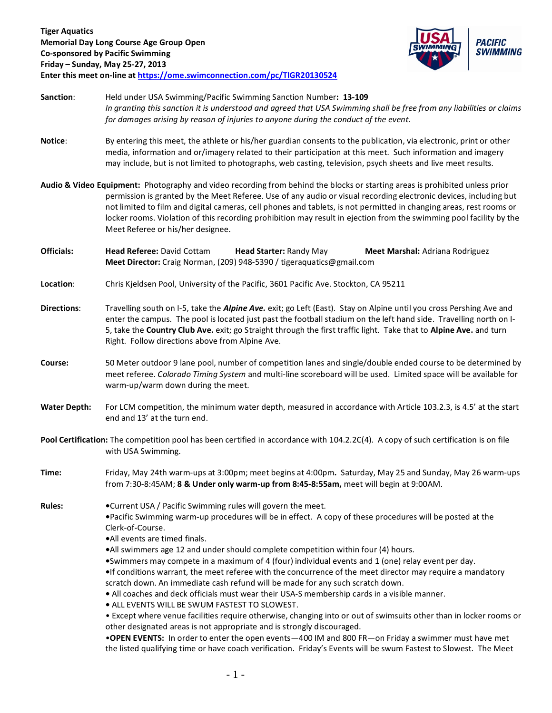

**Sanction**: Held under USA Swimming/Pacific Swimming Sanction Number**: 13-109** *In granting this sanction it is understood and agreed that USA Swimming shall be free from any liabilities or claims for damages arising by reason of injuries to anyone during the conduct of the event.*

- **Notice**: By entering this meet, the athlete or his/her guardian consents to the publication, via electronic, print or other media, information and or/imagery related to their participation at this meet. Such information and imagery may include, but is not limited to photographs, web casting, television, psych sheets and live meet results.
- **Audio & Video Equipment:** Photography and video recording from behind the blocks or starting areas is prohibited unless prior permission is granted by the Meet Referee. Use of any audio or visual recording electronic devices, including but not limited to film and digital cameras, cell phones and tablets, is not permitted in changing areas, rest rooms or locker rooms. Violation of this recording prohibition may result in ejection from the swimming pool facility by the Meet Referee or his/her designee.
- **Officials: Head Referee:** David Cottam **Head Starter:** Randy May **Meet Marshal:** Adriana Rodriguez **Meet Director:** Craig Norman, (209) 948-5390 / tigeraquatics@gmail.com
- **Location**: Chris Kjeldsen Pool, University of the Pacific, 3601 Pacific Ave. Stockton, CA 95211
- **Directions**: Travelling south on I-5, take the *Alpine Ave.* exit; go Left (East). Stay on Alpine until you cross Pershing Ave and enter the campus. The pool is located just past the football stadium on the left hand side. Travelling north on I-5, take the **Country Club Ave.** exit; go Straight through the first traffic light. Take that to **Alpine Ave.** and turn Right. Follow directions above from Alpine Ave.
- **Course:** 50 Meter outdoor 9 lane pool, number of competition lanes and single/double ended course to be determined by meet referee. *Colorado Timing System* and multi-line scoreboard will be used. Limited space will be available for warm-up/warm down during the meet.
- **Water Depth:** For LCM competition, the minimum water depth, measured in accordance with Article 103.2.3, is 4.5' at the start end and 13' at the turn end.
- **Pool Certification:** The competition pool has been certified in accordance with 104.2.2C(4). A copy of such certification is on file with USA Swimming.
- **Time:** Friday, May 24th warm-ups at 3:00pm; meet begins at 4:00pm**.** Saturday, May 25 and Sunday, May 26 warm-ups from 7:30-8:45AM; **8 & Under only warm-up from 8:45-8:55am,** meet will begin at 9:00AM.
- **Rules: •**Current USA / Pacific Swimming rules will govern the meet. **•**Pacific Swimming warm-up procedures will be in effect. A copy of these procedures will be posted at the Clerk-of-Course.
	- **•**All events are timed finals.
	- **•**All swimmers age 12 and under should complete competition within four (4) hours.
	- **•**Swimmers may compete in a maximum of 4 (four) individual events and 1 (one) relay event per day.
	- **•**If conditions warrant, the meet referee with the concurrence of the meet director may require a mandatory scratch down. An immediate cash refund will be made for any such scratch down.
	- **•** All coaches and deck officials must wear their USA-S membership cards in a visible manner.
	- **•** ALL EVENTS WILL BE SWUM FASTEST TO SLOWEST.
	- Except where venue facilities require otherwise, changing into or out of swimsuits other than in locker rooms or other designated areas is not appropriate and is strongly discouraged.

•**OPEN EVENTS:** In order to enter the open events—400 IM and 800 FR—on Friday a swimmer must have met the listed qualifying time or have coach verification. Friday's Events will be swum Fastest to Slowest. The Meet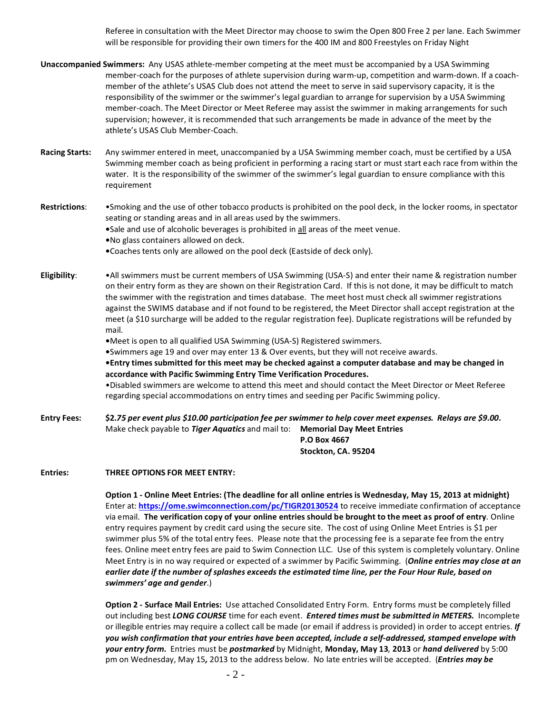Referee in consultation with the Meet Director may choose to swim the Open 800 Free 2 per lane. Each Swimmer will be responsible for providing their own timers for the 400 IM and 800 Freestyles on Friday Night

- **Unaccompanied Swimmers:** Any USAS athlete-member competing at the meet must be accompanied by a USA Swimming member-coach for the purposes of athlete supervision during warm-up, competition and warm-down. If a coachmember of the athlete's USAS Club does not attend the meet to serve in said supervisory capacity, it is the responsibility of the swimmer or the swimmer's legal guardian to arrange for supervision by a USA Swimming member-coach. The Meet Director or Meet Referee may assist the swimmer in making arrangements for such supervision; however, it is recommended that such arrangements be made in advance of the meet by the athlete's USAS Club Member-Coach.
- **Racing Starts:** Any swimmer entered in meet, unaccompanied by a USA Swimming member coach, must be certified by a USA Swimming member coach as being proficient in performing a racing start or must start each race from within the water. It is the responsibility of the swimmer of the swimmer's legal guardian to ensure compliance with this requirement
- **Restrictions**: •Smoking and the use of other tobacco products is prohibited on the pool deck, in the locker rooms, in spectator seating or standing areas and in all areas used by the swimmers.
	- **•**Sale and use of alcoholic beverages is prohibited in all areas of the meet venue.
	- **•**No glass containers allowed on deck.
	- **•**Coaches tents only are allowed on the pool deck (Eastside of deck only).
- **Eligibility**: •All swimmers must be current members of USA Swimming (USA-S) and enter their name & registration number on their entry form as they are shown on their Registration Card. If this is not done, it may be difficult to match the swimmer with the registration and times database. The meet host must check all swimmer registrations against the SWIMS database and if not found to be registered, the Meet Director shall accept registration at the meet (a \$10 surcharge will be added to the regular registration fee). Duplicate registrations will be refunded by mail.
	- **•**Meet is open to all qualified USA Swimming (USA-S) Registered swimmers.
	- **•**Swimmers age 19 and over may enter 13 & Over events, but they will not receive awards.
	- **•Entry times submitted for this meet may be checked against a computer database and may be changed in accordance with Pacific Swimming Entry Time Verification Procedures.**

•Disabled swimmers are welcome to attend this meet and should contact the Meet Director or Meet Referee regarding special accommodations on entry times and seeding per Pacific Swimming policy.

**Entry Fees: \$2.***75 per event plus \$10.00 participation fee per swimmer to help cover meet expenses. Relays are \$9.00.* Make check payable to *Tiger Aquatics* and mail to: **Memorial Day Meet Entries P.O Box 4667 Stockton, CA. 95204**

## **Entries: THREE OPTIONS FOR MEET ENTRY:**

**Option 1 - Online Meet Entries: (The deadline for all online entries is Wednesday, May 15, 2013 at midnight)** Enter at: **<https://ome.swimconnection.com/pc/TIGR20130524>** to receive immediate confirmation of acceptance via email. **The verification copy of your online entries should be brought to the meet as proof of entry**. Online entry requires payment by credit card using the secure site. The cost of using Online Meet Entries is \$1 per swimmer plus 5% of the total entry fees. Please note that the processing fee is a separate fee from the entry fees. Online meet entry fees are paid to Swim Connection LLC. Use of this system is completely voluntary. Online Meet Entry is in no way required or expected of a swimmer by Pacific Swimming. (*Online entries may close at an earlier date if the number of splashes exceeds the estimated time line, per the Four Hour Rule, based on swimmers' age and gender*.)

**Option 2 - Surface Mail Entries:** Use attached Consolidated Entry Form. Entry forms must be completely filled out including best *LONG COURSE* time for each event. *Entered times must be submitted in METERS.* Incomplete or illegible entries may require a collect call be made (or email if address is provided) in order to accept entries. *If you wish confirmation that your entries have been accepted, include a self-addressed, stamped envelope with your entry form.* Entries must be *postmarked* by Midnight, **Monday, May 13***,* **2013** or *hand delivered* by 5:00 pm on Wednesday, May 15*,* 2013 to the address below. No late entries will be accepted. (*Entries may be*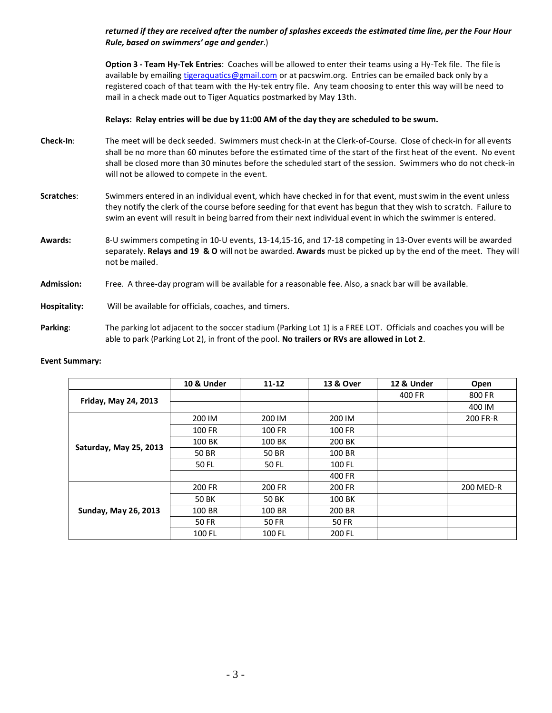## *returned if they are received after the number of splashes exceeds the estimated time line, per the Four Hour Rule, based on swimmers' age and gender*.)

**Option 3 - Team Hy-Tek Entries**: Coaches will be allowed to enter their teams using a Hy-Tek file. The file is available by emailing [tigeraquatics@gmail.com](mailto:tigeraquatics@gmail.com) or at pacswim.org. Entries can be emailed back only by a registered coach of that team with the Hy-tek entry file. Any team choosing to enter this way will be need to mail in a check made out to Tiger Aquatics postmarked by May 13th.

### **Relays: Relay entries will be due by 11:00 AM of the day they are scheduled to be swum.**

- **Check-In**: The meet will be deck seeded. Swimmers must check-in at the Clerk-of-Course. Close of check-in for all events shall be no more than 60 minutes before the estimated time of the start of the first heat of the event. No event shall be closed more than 30 minutes before the scheduled start of the session. Swimmers who do not check-in will not be allowed to compete in the event.
- **Scratches**: Swimmers entered in an individual event, which have checked in for that event, must swim in the event unless they notify the clerk of the course before seeding for that event has begun that they wish to scratch. Failure to swim an event will result in being barred from their next individual event in which the swimmer is entered.
- **Awards:** 8-U swimmers competing in 10-U events, 13-14,15-16, and 17-18 competing in 13-Over events will be awarded separately. **Relays and 19 & O** will not be awarded. **Awards** must be picked up by the end of the meet. They will not be mailed.
- **Admission:** Free. A three-day program will be available for a reasonable fee. Also, a snack bar will be available.
- **Hospitality:** Will be available for officials, coaches, and timers.
- **Parking**: The parking lot adjacent to the soccer stadium (Parking Lot 1) is a FREE LOT. Officials and coaches you will be able to park (Parking Lot 2), in front of the pool. **No trailers or RVs are allowed in Lot 2**.

#### **Event Summary:**

|                                                                                                                                                                                                      | 10 & Under | $11 - 12$ | 13 & Over | 12 & Under | Open      |
|------------------------------------------------------------------------------------------------------------------------------------------------------------------------------------------------------|------------|-----------|-----------|------------|-----------|
|                                                                                                                                                                                                      |            |           |           | 400 FR     | 800 FR    |
|                                                                                                                                                                                                      |            |           |           |            | 400 IM    |
|                                                                                                                                                                                                      | 200 IM     | 200 IM    | 200 IM    |            | 200 FR-R  |
| Friday, May 24, 2013<br>100 FR<br>100 BK<br>Saturday, May 25, 2013<br>50 BR<br>50 BR<br>50 FL<br>50 FL<br>200 FR<br>50 BK<br><b>50 BK</b><br><b>Sunday, May 26, 2013</b><br>100 BR<br>50 FR<br>50 FR | 100 FR     | 100 FR    |           |            |           |
|                                                                                                                                                                                                      |            | 100 BK    | 200 BK    |            |           |
|                                                                                                                                                                                                      |            |           | 100 BR    |            |           |
|                                                                                                                                                                                                      |            |           | 100 FL    |            |           |
|                                                                                                                                                                                                      |            |           | 400 FR    |            |           |
| 200 FR<br>200 FR<br>100 BK<br>100 BR<br>200 BR                                                                                                                                                       |            |           |           |            | 200 MED-R |
|                                                                                                                                                                                                      |            |           |           |            |           |
|                                                                                                                                                                                                      |            |           |           |            |           |
|                                                                                                                                                                                                      |            |           | 50 FR     |            |           |
|                                                                                                                                                                                                      | 100 FL     | 100 FL    | 200 FL    |            |           |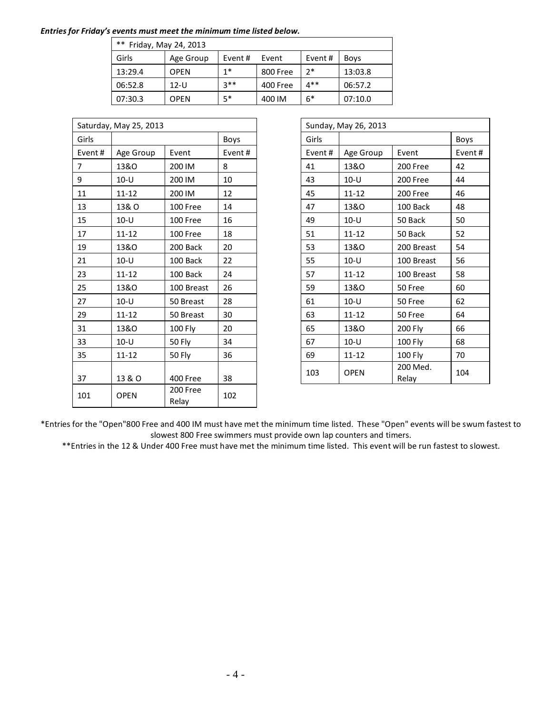### *Entries for Friday's events must meet the minimum time listed below.*

| **<br>Friday, May 24, 2013 |             |        |          |        |             |  |  |
|----------------------------|-------------|--------|----------|--------|-------------|--|--|
| Girls                      | Age Group   | Event# | Event    | Event# | <b>Boys</b> |  |  |
| 13:29.4                    | <b>OPEN</b> | $1*$   | 800 Free | つ*     | 13:03.8     |  |  |
| 06:52.8                    | $12-U$      | $3**$  | 400 Free | $4**$  | 06:57.2     |  |  |
| 07:30.3                    | <b>OPEN</b> | $5*$   | 400 IM   | $6*$   | 07:10.0     |  |  |

|                | Saturday, May 25, 2013 |                   |        |        | Sunday, May 26, 2013 |                   |      |
|----------------|------------------------|-------------------|--------|--------|----------------------|-------------------|------|
| Girls          |                        |                   | Boys   | Girls  |                      |                   | Boys |
| Event#         | Age Group              | Event             | Event# | Event# | Age Group            | Event             | Ever |
| $\overline{7}$ | 13&0                   | 200 IM            | 8      | 41     | 13&0                 | 200 Free          | 42   |
| 9              | $10-U$                 | 200 IM            | 10     | 43     | $10-U$               | 200 Free          | 44   |
| 11             | $11 - 12$              | 200 IM            | 12     | 45     | $11 - 12$            | 200 Free          | 46   |
| 13             | 13& O                  | 100 Free          | 14     | 47     | 13&0                 | 100 Back          | 48   |
| 15             | $10-U$                 | 100 Free          | 16     | 49     | $10-U$               | 50 Back           | 50   |
| 17             | $11 - 12$              | 100 Free          | 18     | 51     | $11 - 12$            | 50 Back           | 52   |
| 19             | 13&0                   | 200 Back          | 20     | 53     | 13&0                 | 200 Breast        | 54   |
| 21             | $10-U$                 | 100 Back          | 22     | 55     | $10 - U$             | 100 Breast        | 56   |
| 23             | $11 - 12$              | 100 Back          | 24     | 57     | $11 - 12$            | 100 Breast        | 58   |
| 25             | 13&O                   | 100 Breast        | 26     | 59     | 13&0                 | 50 Free           | 60   |
| 27             | $10-U$                 | 50 Breast         | 28     | 61     | $10-U$               | 50 Free           | 62   |
| 29             | $11 - 12$              | 50 Breast         | 30     | 63     | $11 - 12$            | 50 Free           | 64   |
| 31             | 13&O                   | 100 Fly           | 20     | 65     | 13&O                 | 200 Fly           | 66   |
| 33             | $10-U$                 | <b>50 Fly</b>     | 34     | 67     | $10 - U$             | 100 Fly           | 68   |
| 35             | $11 - 12$              | <b>50 Fly</b>     | 36     | 69     | $11 - 12$            | 100 Fly           | 70   |
| 37             | 13 & O                 | 400 Free          | 38     | 103    | <b>OPEN</b>          | 200 Med.<br>Relay | 104  |
| 101            | <b>OPEN</b>            | 200 Free<br>Relay | 102    |        |                      |                   |      |

| Saturday, May 25, 2013 |                 | Sunday, May 26, 2013 |             |        |                 |                   |        |  |
|------------------------|-----------------|----------------------|-------------|--------|-----------------|-------------------|--------|--|
| Girls                  |                 |                      | <b>Boys</b> | Girls  |                 |                   | Boys   |  |
| Event#                 | Age Group       | Event                | Event#      | Event# | Age Group       | Event             | Event# |  |
| 7                      | <b>13&amp;O</b> | 200 IM               | 8           | 41     | <b>13&amp;O</b> | 200 Free          | 42     |  |
| 9                      | $10-U$          | 200 IM               | 10          | 43     | $10 - U$        | 200 Free          | 44     |  |
| 11                     | $11 - 12$       | 200 IM               | 12          | 45     | $11 - 12$       | 200 Free          | 46     |  |
| 13                     | 13& O           | 100 Free             | 14          | 47     | 13&0            | 100 Back          | 48     |  |
| 15                     | $10 - U$        | 100 Free             | 16          | 49     | $10-U$          | 50 Back           | 50     |  |
| 17                     | $11 - 12$       | 100 Free             | 18          | 51     | $11 - 12$       | 50 Back           | 52     |  |
| 19                     | <b>13&amp;O</b> | 200 Back             | 20          | 53     | 13&0            | 200 Breast        | 54     |  |
| 21                     | $10-U$          | 100 Back             | 22          | 55     | $10 - U$        | 100 Breast        | 56     |  |
| 23                     | $11 - 12$       | 100 Back             | 24          | 57     | $11 - 12$       | 100 Breast        | 58     |  |
| 25                     | 13&0            | 100 Breast           | 26          | 59     | 13&0            | 50 Free           | 60     |  |
| 27                     | $10-U$          | 50 Breast            | 28          | 61     | $10-U$          | 50 Free           | 62     |  |
| 29                     | $11 - 12$       | 50 Breast            | 30          | 63     | $11 - 12$       | 50 Free           | 64     |  |
| 31                     | <b>13&amp;O</b> | 100 Fly              | 20          | 65     | 13&0            | 200 Fly           | 66     |  |
| 33                     | $10-U$          | 50 Fly               | 34          | 67     | $10-U$          | 100 Fly           | 68     |  |
| 35                     | $11 - 12$       | 50 Fly               | 36          | 69     | $11 - 12$       | 100 Fly           | 70     |  |
| 37                     | 13 & O          | 400 Free             | 38          | 103    | <b>OPEN</b>     | 200 Med.<br>Relay | 104    |  |

\*Entries for the "Open"800 Free and 400 IM must have met the minimum time listed. These "Open" events will be swum fastest to slowest 800 Free swimmers must provide own lap counters and timers.

\*\*Entries in the 12 & Under 400 Free must have met the minimum time listed. This event will be run fastest to slowest.